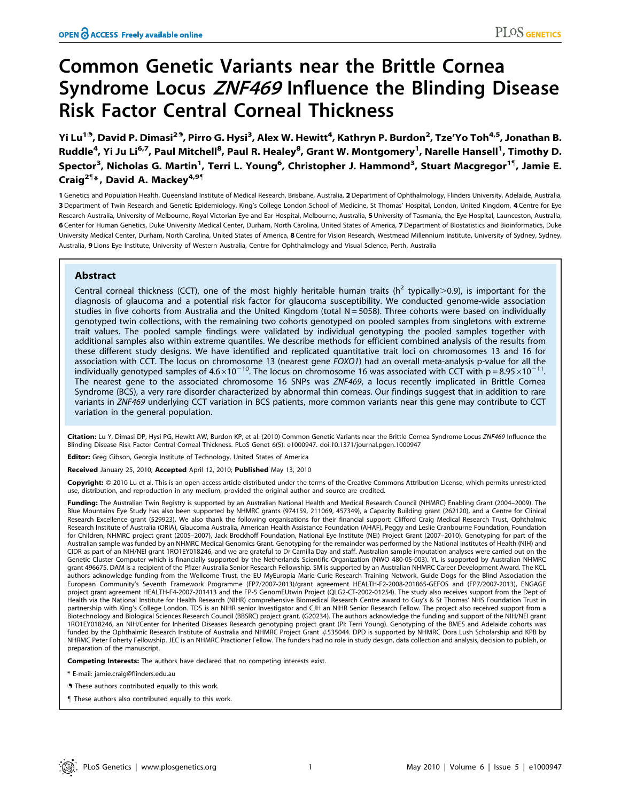# Common Genetic Variants near the Brittle Cornea Syndrome Locus ZNF469 Influence the Blinding Disease Risk Factor Central Corneal Thickness

Yi Lu<sup>19</sup>, David P. Dimasi<sup>29</sup>, Pirro G. Hysi<sup>3</sup>, Alex W. Hewitt<sup>4</sup>, Kathryn P. Burdon<sup>2</sup>, Tze'Yo Toh<sup>4,5</sup>, Jonathan B. Ruddle<sup>4</sup>, Yi Ju Li<sup>6,7</sup>, Paul Mitchell<sup>8</sup>, Paul R. Healey<sup>8</sup>, Grant W. Montgomery<sup>1</sup>, Narelle Hansell<sup>1</sup>, Timothy D. Spector<sup>3</sup>, Nicholas G. Martin<sup>1</sup>, Terri L. Young<sup>6</sup>, Christopher J. Hammond<sup>3</sup>, Stuart Macgregor<sup>1¶</sup>, Jamie E. Craig<sup>2¶</sup>\*, David A. Mackey<sup>4,9¶</sup>

1 Genetics and Population Health, Queensland Institute of Medical Research, Brisbane, Australia, 2 Department of Ophthalmology, Flinders University, Adelaide, Australia, 3 Department of Twin Research and Genetic Epidemiology, King's College London School of Medicine, St Thomas' Hospital, London, United Kingdom, 4 Centre for Eye Research Australia, University of Melbourne, Royal Victorian Eye and Ear Hospital, Melbourne, Australia, 5 University of Tasmania, the Eye Hospital, Launceston, Australia, 6 Center for Human Genetics, Duke University Medical Center, Durham, North Carolina, United States of America, 7 Department of Biostatistics and Bioinformatics, Duke University Medical Center, Durham, North Carolina, United States of America, 8 Centre for Vision Research, Westmead Millennium Institute, University of Sydney, Sydney, Australia, 9 Lions Eye Institute, University of Western Australia, Centre for Ophthalmology and Visual Science, Perth, Australia

# Abstract

Central corneal thickness (CCT), one of the most highly heritable human traits ( $h^2$  typically $>0.9$ ), is important for the diagnosis of glaucoma and a potential risk factor for glaucoma susceptibility. We conducted genome-wide association studies in five cohorts from Australia and the United Kingdom (total  $N = 5058$ ). Three cohorts were based on individually genotyped twin collections, with the remaining two cohorts genotyped on pooled samples from singletons with extreme trait values. The pooled sample findings were validated by individual genotyping the pooled samples together with additional samples also within extreme quantiles. We describe methods for efficient combined analysis of the results from these different study designs. We have identified and replicated quantitative trait loci on chromosomes 13 and 16 for association with CCT. The locus on chromosome 13 (nearest gene FOXO1) had an overall meta-analysis p-value for all the individually genotyped samples of  $4.6\times10^{-10}$ . The locus on chromosome 16 was associated with CCT with p = 8.95 $\times10^{-11}$ . The nearest gene to the associated chromosome 16 SNPs was ZNF469, a locus recently implicated in Brittle Cornea Syndrome (BCS), a very rare disorder characterized by abnormal thin corneas. Our findings suggest that in addition to rare variants in ZNF469 underlying CCT variation in BCS patients, more common variants near this gene may contribute to CCT variation in the general population.

Citation: Lu Y, Dimasi DP, Hysi PG, Hewitt AW, Burdon KP, et al. (2010) Common Genetic Variants near the Brittle Cornea Syndrome Locus ZNF469 Influence the Blinding Disease Risk Factor Central Corneal Thickness. PLoS Genet 6(5): e1000947. doi:10.1371/journal.pgen.1000947

Editor: Greg Gibson, Georgia Institute of Technology, United States of America

Received January 25, 2010; Accepted April 12, 2010; Published May 13, 2010

Copyright: © 2010 Lu et al. This is an open-access article distributed under the terms of the Creative Commons Attribution License, which permits unrestricted use, distribution, and reproduction in any medium, provided the original author and source are credited.

Funding: The Australian Twin Registry is supported by an Australian National Health and Medical Research Council (NHMRC) Enabling Grant (2004-2009). The Blue Mountains Eye Study has also been supported by NHMRC grants (974159, 211069, 457349), a Capacity Building grant (262120), and a Centre for Clinical Research Excellence grant (529923). We also thank the following organisations for their financial support: Clifford Craig Medical Research Trust, Ophthalmic Research Institute of Australia (ORIA), Glaucoma Australia, American Health Assistance Foundation (AHAF), Peggy and Leslie Cranbourne Foundation, Foundation for Children, NHMRC project grant (2005–2007), Jack Brockhoff Foundation, National Eye Institute (NEI) Project Grant (2007–2010). Genotyping for part of the Australian sample was funded by an NHMRC Medical Genomics Grant. Genotyping for the remainder was performed by the National Institutes of Health (NIH) and CIDR as part of an NIH/NEI grant 1RO1EY018246, and we are grateful to Dr Camilla Day and staff. Australian sample imputation analyses were carried out on the Genetic Cluster Computer which is financially supported by the Netherlands Scientific Organization (NWO 480-05-003). YL is supported by Australian NHMRC grant 496675. DAM is a recipient of the Pfizer Australia Senior Research Fellowship. SM is supported by an Australian NHMRC Career Development Award. The KCL authors acknowledge funding from the Wellcome Trust, the EU MyEuropia Marie Curie Research Training Network, Guide Dogs for the Blind Association the European Community's Seventh Framework Programme (FP7/2007-2013)/grant agreement HEALTH-F2-2008-201865-GEFOS and (FP7/2007-2013), ENGAGE project grant agreement HEALTH-F4-2007-201413 and the FP-5 GenomEUtwin Project (QLG2-CT-2002-01254). The study also receives support from the Dept of Health via the National Institute for Health Research (NIHR) comprehensive Biomedical Research Centre award to Guy's & St Thomas' NHS Foundation Trust in partnership with King's College London. TDS is an NIHR senior Investigator and CJH an NIHR Senior Research Fellow. The project also received support from a Biotechnology and Biological Sciences Research Council (BBSRC) project grant. (G20234). The authors acknowledge the funding and support of the NIH/NEI grant 1RO1EY018246, an NIH/Center for Inherited Diseases Research genotyping project grant (PI: Terri Young). Genotyping of the BMES and Adelaide cohorts was funded by the Ophthalmic Research Institute of Australia and NHMRC Project Grant #535044. DPD is supported by NHMRC Dora Lush Scholarship and KPB by NHRMC Peter Foherty Fellowship. JEC is an NHMRC Practioner Fellow. The funders had no role in study design, data collection and analysis, decision to publish, or preparation of the manuscript.

Competing Interests: The authors have declared that no competing interests exist.

- \* E-mail: jamie.craig@flinders.edu.au
- . These authors contributed equally to this work.
- " These authors also contributed equally to this work.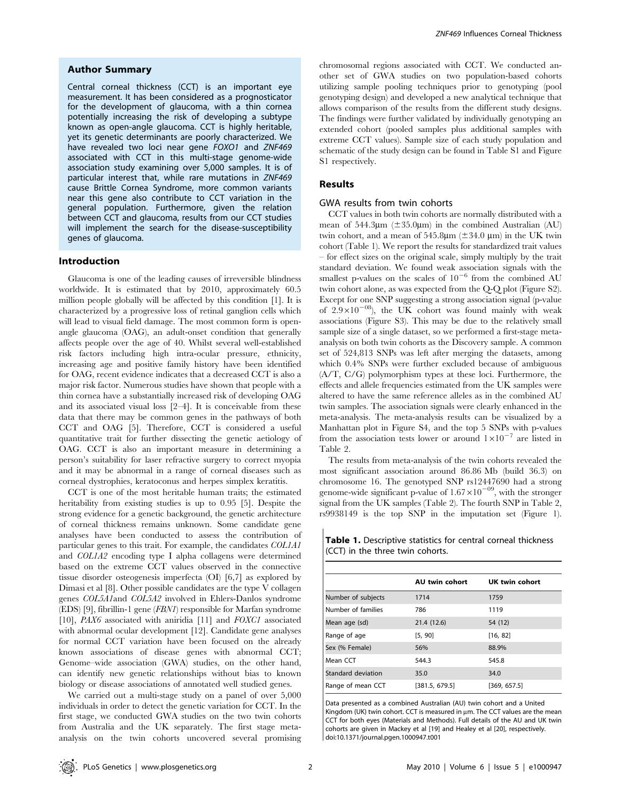## Author Summary

Central corneal thickness (CCT) is an important eye measurement. It has been considered as a prognosticator for the development of glaucoma, with a thin cornea potentially increasing the risk of developing a subtype known as open-angle glaucoma. CCT is highly heritable, yet its genetic determinants are poorly characterized. We have revealed two loci near gene FOXO1 and ZNF469 associated with CCT in this multi-stage genome-wide association study examining over 5,000 samples. It is of particular interest that, while rare mutations in ZNF469 cause Brittle Cornea Syndrome, more common variants near this gene also contribute to CCT variation in the general population. Furthermore, given the relation between CCT and glaucoma, results from our CCT studies will implement the search for the disease-susceptibility genes of glaucoma.

## Introduction

Glaucoma is one of the leading causes of irreversible blindness worldwide. It is estimated that by 2010, approximately 60.5 million people globally will be affected by this condition [1]. It is characterized by a progressive loss of retinal ganglion cells which will lead to visual field damage. The most common form is openangle glaucoma (OAG), an adult-onset condition that generally affects people over the age of 40. Whilst several well-established risk factors including high intra-ocular pressure, ethnicity, increasing age and positive family history have been identified for OAG, recent evidence indicates that a decreased CCT is also a major risk factor. Numerous studies have shown that people with a thin cornea have a substantially increased risk of developing OAG and its associated visual loss [2–4]. It is conceivable from these data that there may be common genes in the pathways of both CCT and OAG [5]. Therefore, CCT is considered a useful quantitative trait for further dissecting the genetic aetiology of OAG. CCT is also an important measure in determining a person's suitability for laser refractive surgery to correct myopia and it may be abnormal in a range of corneal diseases such as corneal dystrophies, keratoconus and herpes simplex keratitis.

CCT is one of the most heritable human traits; the estimated heritability from existing studies is up to 0.95 [5]. Despite the strong evidence for a genetic background, the genetic architecture of corneal thickness remains unknown. Some candidate gene analyses have been conducted to assess the contribution of particular genes to this trait. For example, the candidates COL1A1 and COL1A2 encoding type I alpha collagens were determined based on the extreme CCT values observed in the connective tissue disorder osteogenesis imperfecta (OI) [6,7] as explored by Dimasi et al [8]. Other possible candidates are the type V collagen genes COL5A1and COL5A2 involved in Ehlers-Danlos syndrome (EDS) [9], fibrillin-1 gene (FBN1) responsible for Marfan syndrome [10],  $PAX6$  associated with aniridia [11] and  $FOXCI$  associated with abnormal ocular development [12]. Candidate gene analyses for normal CCT variation have been focused on the already known associations of disease genes with abnormal CCT; Genome–wide association (GWA) studies, on the other hand, can identify new genetic relationships without bias to known biology or disease associations of annotated well studied genes.

We carried out a multi-stage study on a panel of over 5,000 individuals in order to detect the genetic variation for CCT. In the first stage, we conducted GWA studies on the two twin cohorts from Australia and the UK separately. The first stage metaanalysis on the twin cohorts uncovered several promising chromosomal regions associated with CCT. We conducted another set of GWA studies on two population-based cohorts utilizing sample pooling techniques prior to genotyping (pool genotyping design) and developed a new analytical technique that allows comparison of the results from the different study designs. The findings were further validated by individually genotyping an extended cohort (pooled samples plus additional samples with extreme CCT values). Sample size of each study population and schematic of the study design can be found in Table S1 and Figure S1 respectively.

## Results

#### GWA results from twin cohorts

CCT values in both twin cohorts are normally distributed with a mean of 544.3 $\mu$ m ( $\pm$ 35.0 $\mu$ m) in the combined Australian (AU) twin cohort, and a mean of 545.8 $\mu$ m ( $\pm$ 34.0  $\mu$ m) in the UK twin cohort (Table 1). We report the results for standardized trait values – for effect sizes on the original scale, simply multiply by the trait standard deviation. We found weak association signals with the smallest p-values on the scales of  $10^{-6}$  from the combined AU twin cohort alone, as was expected from the Q-Q plot (Figure S2). Except for one SNP suggesting a strong association signal (p-value of  $2.9\times10^{-08}$ ), the UK cohort was found mainly with weak associations (Figure S3). This may be due to the relatively small sample size of a single dataset, so we performed a first-stage metaanalysis on both twin cohorts as the Discovery sample. A common set of 524,813 SNPs was left after merging the datasets, among which 0.4% SNPs were further excluded because of ambiguous (A/T, C/G) polymorphism types at these loci. Furthermore, the effects and allele frequencies estimated from the UK samples were altered to have the same reference alleles as in the combined AU twin samples. The association signals were clearly enhanced in the meta-analysis. The meta-analysis results can be visualized by a Manhattan plot in Figure S4, and the top 5 SNPs with p-values from the association tests lower or around  $1\times10^{-7}$  are listed in Table 2.

The results from meta-analysis of the twin cohorts revealed the most significant association around 86.86 Mb (build 36.3) on chromosome 16. The genotyped SNP rs12447690 had a strong genome-wide significant p-value of  $1.67\times10^{-09}$ , with the stronger signal from the UK samples (Table 2). The fourth SNP in Table 2, rs9938149 is the top SNP in the imputation set (Figure 1).

Table 1. Descriptive statistics for central corneal thickness (CCT) in the three twin cohorts.

|                    | <b>AU twin cohort</b> | UK twin cohort |
|--------------------|-----------------------|----------------|
| Number of subjects | 1714                  | 1759           |
| Number of families | 786                   | 1119           |
| Mean age (sd)      | 21.4 (12.6)           | 54 (12)        |
| Range of age       | [5, 90]               | [16, 82]       |
| Sex (% Female)     | 56%                   | 88.9%          |
| Mean CCT           | 544.3                 | 545.8          |
| Standard deviation | 35.0                  | 34.0           |
| Range of mean CCT  | [381.5, 679.5]        | [369, 657.5]   |

Data presented as a combined Australian (AU) twin cohort and a United Kingdom (UK) twin cohort. CCT is measured in  $\mu$ m. The CCT values are the mean CCT for both eyes (Materials and Methods). Full details of the AU and UK twin cohorts are given in Mackey et al [19] and Healey et al [20], respectively. doi:10.1371/journal.pgen.1000947.t001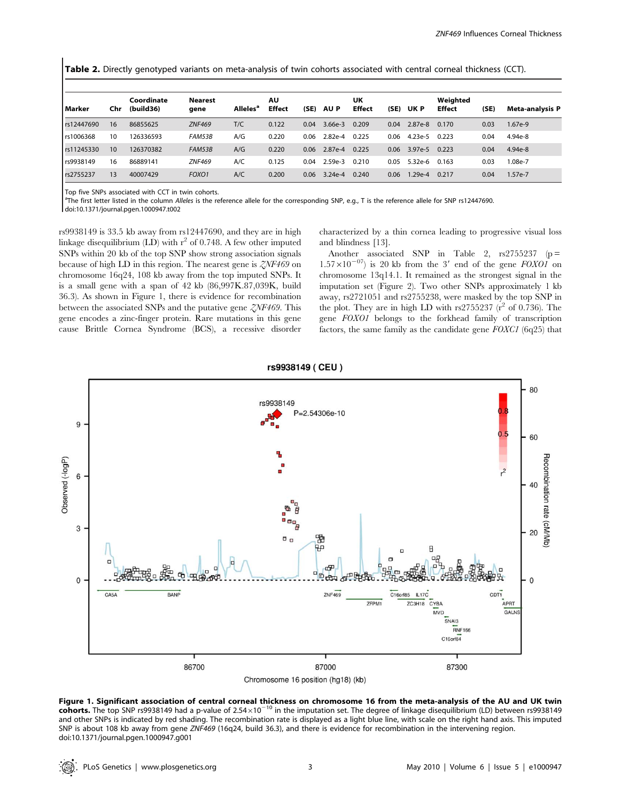Table 2. Directly genotyped variants on meta-analysis of twin cohorts associated with central corneal thickness (CCT).

| l Marker   | Chr | Coordinate<br>(build36) | <b>Nearest</b><br>gene | Alleles <sup>"</sup> | ΑU<br><b>Effect</b> | (SE) | AU P      | UK<br><b>Effect</b> | (SE) | UK P      | Weighted<br><b>Effect</b> | (SE) | <b>Meta-analysis P</b> |
|------------|-----|-------------------------|------------------------|----------------------|---------------------|------|-----------|---------------------|------|-----------|---------------------------|------|------------------------|
| rs12447690 | 16  | 86855625                | <b>ZNF469</b>          | T/C                  | 0.122               | 0.04 | $3.66e-3$ | 0.209               | 0.04 | 2.87e-8   | 0.170                     | 0.03 | $1.67e-9$              |
| rs1006368  | 10  | 126336593               | FAM53B                 | A/G                  | 0.220               | 0.06 | $2.82e-4$ | 0.225               | 0.06 | $4.23e-5$ | 0.223                     | 0.04 | 4.94e-8                |
| rs11245330 | 10  | 126370382               | FAM53B                 | A/G                  | 0.220               | 0.06 | 2.87e-4   | 0.225               | 0.06 | $3.97e-5$ | 0.223                     | 0.04 | 4.94e-8                |
| rs9938149  | 16  | 86889141                | <b>ZNF469</b>          | A/C                  | 0.125               | 0.04 | $2.59e-3$ | 0.210               | 0.05 | $5.32e-6$ | 0.163                     | 0.03 | 1.08e-7                |
| rs2755237  | 13  | 40007429                | FOXO1                  | A/C                  | 0.200               | 0.06 | $3.24e-4$ | 0.240               | 0.06 | $.29e-4$  | 0.217                     | 0.04 | $1.57e-7$              |

Top five SNPs associated with CCT in twin cohorts.

<sup>a</sup>The first letter listed in the column Alleles is the reference allele for the corresponding SNP, e.g., T is the reference allele for SNP rs12447690.

doi:10.1371/journal.pgen.1000947.t002

rs9938149 is 33.5 kb away from rs12447690, and they are in high linkage disequilibrium (LD) with  $r^2$  of 0.748. A few other imputed SNPs within 20 kb of the top SNP show strong association signals because of high LD in this region. The nearest gene is ZNF469 on chromosome 16q24, 108 kb away from the top imputed SNPs. It is a small gene with a span of 42 kb (86,997K.87,039K, build 36.3). As shown in Figure 1, there is evidence for recombination between the associated SNPs and the putative gene  $\zeta NF469$ . This gene encodes a zinc-finger protein. Rare mutations in this gene cause Brittle Cornea Syndrome (BCS), a recessive disorder characterized by a thin cornea leading to progressive visual loss and blindness [13].

Another associated SNP in Table 2,  $rs2755237$  ( $p =$  $1.57\times10^{-07}$  is 20 kb from the 3' end of the gene FOXO1 on chromosome 13q14.1. It remained as the strongest signal in the imputation set (Figure 2). Two other SNPs approximately 1 kb away, rs2721051 and rs2755238, were masked by the top SNP in the plot. They are in high LD with  $rs2755237$  ( $r^2$  of 0.736). The gene FOXO1 belongs to the forkhead family of transcription factors, the same family as the candidate gene  $FOXCI$  (6q25) that



rs9938149 (CEU)

Figure 1. Significant association of central corneal thickness on chromosome 16 from the meta-analysis of the AU and UK twin cohorts. The top SNP rs9938149 had a p-value of  $2.54\times10^{-10}$  in the imputation set. The degree of linkage disequilibrium (LD) between rs9938149 and other SNPs is indicated by red shading. The recombination rate is displayed as a light blue line, with scale on the right hand axis. This imputed SNP is about 108 kb away from gene ZNF469 (16q24, build 36.3), and there is evidence for recombination in the intervening region. doi:10.1371/journal.pgen.1000947.g001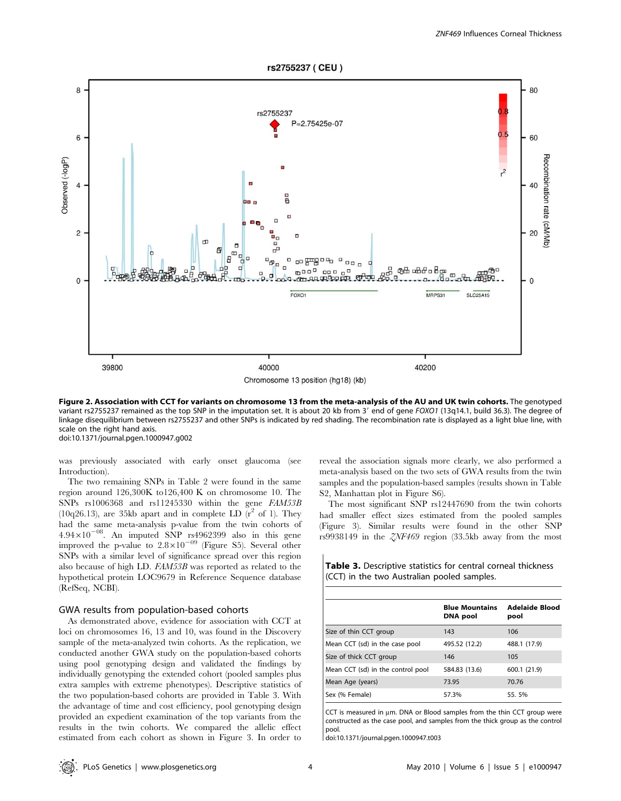rs2755237 (CEU) 8 80 rs2755237 P=2.75425e-07  $0.5$ 6 60 Recombination rate (cM/Mb Observed (-logP)  $r^2$  $\overline{a}$ 40  $\overline{2}$  $20$  $\Box$ ᅃᄪᄜ  $\square$  $\Box$  $0000$ ææ æær B  $\Box$  $CDD$  $\mathbf{0}$ **Gm 99 000**  $\Omega$ FOXO1 MRPS31 **SLC25A15** 39800 40000 40200

Chromosome 13 position (hq18) (kb)

Figure 2. Association with CCT for variants on chromosome 13 from the meta-analysis of the AU and UK twin cohorts. The genotyped variant rs2755237 remained as the top SNP in the imputation set. It is about 20 kb from 3' end of gene FOXO1 (13q14.1, build 36.3). The degree of linkage disequilibrium between rs2755237 and other SNPs is indicated by red shading. The recombination rate is displayed as a light blue line, with scale on the right hand axis. doi:10.1371/journal.pgen.1000947.g002

was previously associated with early onset glaucoma (see Introduction).

The two remaining SNPs in Table 2 were found in the same region around 126,300K to126,400 K on chromosome 10. The SNPs rs1006368 and rs11245330 within the gene FAM53B (10q26.13), are 35kb apart and in complete LD  $(r^2 \text{ of } 1)$ . They had the same meta-analysis p-value from the twin cohorts of  $4.94 \times 10^{-08}$ . An imputed SNP rs4962399 also in this gene improved the p-value to  $2.8 \times 10^{-09}$  (Figure S5). Several other SNPs with a similar level of significance spread over this region also because of high LD. FAM53B was reported as related to the hypothetical protein LOC9679 in Reference Sequence database (RefSeq, NCBI).

#### GWA results from population-based cohorts

As demonstrated above, evidence for association with CCT at loci on chromosomes 16, 13 and 10, was found in the Discovery sample of the meta-analyzed twin cohorts. As the replication, we conducted another GWA study on the population-based cohorts using pool genotyping design and validated the findings by individually genotyping the extended cohort (pooled samples plus extra samples with extreme phenotypes). Descriptive statistics of the two population-based cohorts are provided in Table 3. With the advantage of time and cost efficiency, pool genotyping design provided an expedient examination of the top variants from the results in the twin cohorts. We compared the allelic effect estimated from each cohort as shown in Figure 3. In order to reveal the association signals more clearly, we also performed a meta-analysis based on the two sets of GWA results from the twin samples and the population-based samples (results shown in Table S2, Manhattan plot in Figure S6).

The most significant SNP rs12447690 from the twin cohorts had smaller effect sizes estimated from the pooled samples (Figure 3). Similar results were found in the other SNP rs9938149 in the ZNF469 region (33.5kb away from the most

Table 3. Descriptive statistics for central corneal thickness (CCT) in the two Australian pooled samples.

|                                   | <b>Blue Mountains</b><br><b>DNA</b> pool | Adelaide Blood<br>pool |
|-----------------------------------|------------------------------------------|------------------------|
| Size of thin CCT group            | 143                                      | 106                    |
| Mean CCT (sd) in the case pool    | 495.52 (12.2)                            | 488.1 (17.9)           |
| Size of thick CCT group           | 146                                      | 105                    |
| Mean CCT (sd) in the control pool | 584.83 (13.6)                            | 600.1 (21.9)           |
| Mean Age (years)                  | 73.95                                    | 70.76                  |
| Sex (% Female)                    | 57.3%                                    | 55.5%                  |

CCT is measured in  $\mu$ m. DNA or Blood samples from the thin CCT group were constructed as the case pool, and samples from the thick group as the control pool.

doi:10.1371/journal.pgen.1000947.t003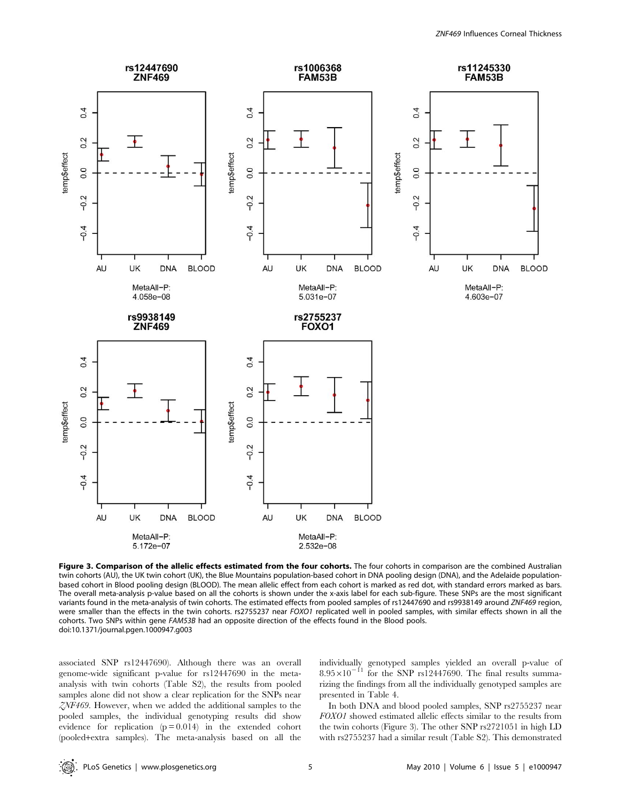

Figure 3. Comparison of the allelic effects estimated from the four cohorts. The four cohorts in comparison are the combined Australian twin cohorts (AU), the UK twin cohort (UK), the Blue Mountains population-based cohort in DNA pooling design (DNA), and the Adelaide populationbased cohort in Blood pooling design (BLOOD). The mean allelic effect from each cohort is marked as red dot, with standard errors marked as bars. The overall meta-analysis p-value based on all the cohorts is shown under the x-axis label for each sub-figure. These SNPs are the most significant variants found in the meta-analysis of twin cohorts. The estimated effects from pooled samples of rs12447690 and rs9938149 around ZNF469 region, were smaller than the effects in the twin cohorts. rs2755237 near FOXO1 replicated well in pooled samples, with similar effects shown in all the cohorts. Two SNPs within gene FAM53B had an opposite direction of the effects found in the Blood pools. doi:10.1371/journal.pgen.1000947.g003

associated SNP rs12447690). Although there was an overall genome-wide significant p-value for rs12447690 in the metaanalysis with twin cohorts (Table S2), the results from pooled samples alone did not show a clear replication for the SNPs near ZNF469. However, when we added the additional samples to the pooled samples, the individual genotyping results did show evidence for replication (p = 0.014) in the extended cohort (pooled+extra samples). The meta-analysis based on all the

individually genotyped samples yielded an overall p-value of  $8.95 \times 10^{-11}$  for the SNP rs12447690. The final results summarizing the findings from all the individually genotyped samples are presented in Table 4.

In both DNA and blood pooled samples, SNP rs2755237 near FOXO1 showed estimated allelic effects similar to the results from the twin cohorts (Figure 3). The other SNP rs2721051 in high LD with rs2755237 had a similar result (Table S2). This demonstrated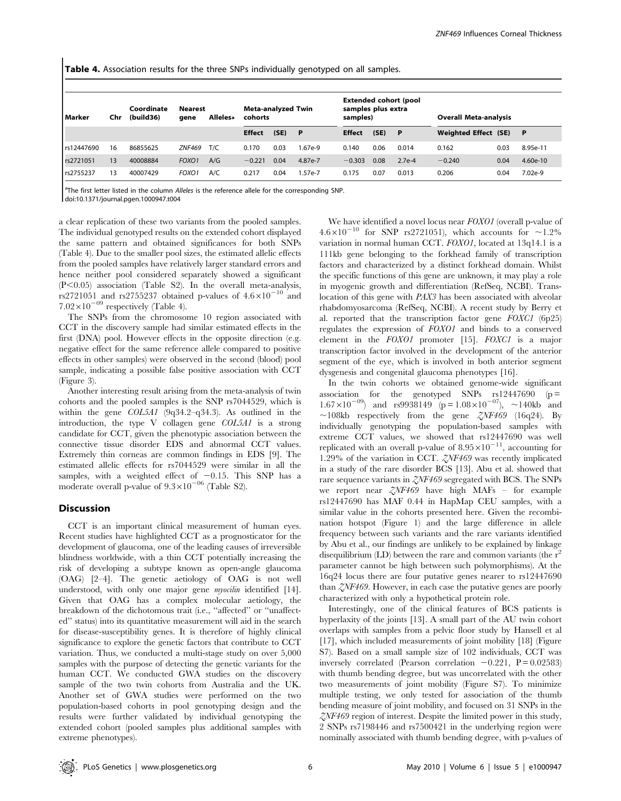Table 4. Association results for the three SNPs individually genotyped on all samples.

| l Marker   | Chr | Coordinate<br>(build36) | Nearest<br>qene   | <b>Allelesa</b> | <b>Meta-analyzed Twin</b><br>cohorts |      | <b>Extended cohort (pool</b><br>samples plus extra<br>samples) |               |      | <b>Overall Meta-analysis</b> |                      |      |          |
|------------|-----|-------------------------|-------------------|-----------------|--------------------------------------|------|----------------------------------------------------------------|---------------|------|------------------------------|----------------------|------|----------|
|            |     |                         |                   |                 | <b>Effect</b>                        | (SE) | - P                                                            | <b>Effect</b> | (SE) | P                            | Weighted Effect (SE) |      | - P      |
| rs12447690 | 16  | 86855625                | <b>ZNF469</b>     | T/C             | 0.170                                | 0.03 | 1.67e-9                                                        | 0.140         | 0.06 | 0.014                        | 0.162                | 0.03 | 8.95e-11 |
| rs2721051  | 13  | 40008884                | FOXO1             | A/G             | $-0.221$                             | 0.04 | 4.87e-7                                                        | $-0.303$      | 0.08 | $2.7e-4$                     | $-0.240$             | 0.04 | 4.60e-10 |
| rs2755237  | 13  | 40007429                | FOXO <sub>1</sub> | A/C             | 0.217                                | 0.04 | 1.57e-7                                                        | 0.175         | 0.07 | 0.013                        | 0.206                | 0.04 | 7.02e-9  |

<sup>a</sup>The first letter listed in the column Alleles is the reference allele for the corresponding SNP.

doi:10.1371/journal.pgen.1000947.t004

a clear replication of these two variants from the pooled samples. The individual genotyped results on the extended cohort displayed the same pattern and obtained significances for both SNPs (Table 4). Due to the smaller pool sizes, the estimated allelic effects from the pooled samples have relatively larger standard errors and hence neither pool considered separately showed a significant  $(P<0.05)$  association (Table S2). In the overall meta-analysis, rs2721051 and rs2755237 obtained p-values of  $4.6\times10^{-10}$  and  $7.02\times10^{-09}$  respectively (Table 4).

The SNPs from the chromosome 10 region associated with CCT in the discovery sample had similar estimated effects in the first (DNA) pool. However effects in the opposite direction (e.g. negative effect for the same reference allele compared to positive effects in other samples) were observed in the second (blood) pool sample, indicating a possible false positive association with CCT (Figure 3).

Another interesting result arising from the meta-analysis of twin cohorts and the pooled samples is the SNP rs7044529, which is within the gene COL5A1 (9q34.2–q34.3). As outlined in the introduction, the type V collagen gene COL5A1 is a strong candidate for CCT, given the phenotypic association between the connective tissue disorder EDS and abnormal CCT values. Extremely thin corneas are common findings in EDS [9]. The estimated allelic effects for rs7044529 were similar in all the samples, with a weighted effect of  $-0.15$ . This SNP has a moderate overall p-value of  $9.3\times10^{-06}$  (Table S2).

## Discussion

CCT is an important clinical measurement of human eyes. Recent studies have highlighted CCT as a prognosticator for the development of glaucoma, one of the leading causes of irreversible blindness worldwide, with a thin CCT potentially increasing the risk of developing a subtype known as open-angle glaucoma (OAG) [2–4]. The genetic aetiology of OAG is not well understood, with only one major gene *myocilin* identified [14]. Given that OAG has a complex molecular aetiology, the breakdown of the dichotomous trait (i.e., ''affected'' or ''unaffected'' status) into its quantitative measurement will aid in the search for disease-susceptibility genes. It is therefore of highly clinical significance to explore the genetic factors that contribute to CCT variation. Thus, we conducted a multi-stage study on over 5,000 samples with the purpose of detecting the genetic variants for the human CCT. We conducted GWA studies on the discovery sample of the two twin cohorts from Australia and the UK. Another set of GWA studies were performed on the two population-based cohorts in pool genotyping design and the results were further validated by individual genotyping the extended cohort (pooled samples plus additional samples with extreme phenotypes).

We have identified a novel locus near FOXO1 (overall p-value of  $4.6\times10^{-10}$  for SNP rs2721051), which accounts for ~1.2% variation in normal human CCT. FOXO1, located at 13q14.1 is a 111kb gene belonging to the forkhead family of transcription factors and characterized by a distinct forkhead domain. Whilst the specific functions of this gene are unknown, it may play a role in myogenic growth and differentiation (RefSeq, NCBI). Translocation of this gene with PAX3 has been associated with alveolar rhabdomyosarcoma (RefSeq, NCBI). A recent study by Berry et al. reported that the transcription factor gene FOXC1 (6p25) regulates the expression of FOXO1 and binds to a conserved element in the FOXO1 promoter [15]. FOXC1 is a major transcription factor involved in the development of the anterior segment of the eye, which is involved in both anterior segment dysgenesis and congenital glaucoma phenotypes [16].

In the twin cohorts we obtained genome-wide significant association for the genotyped SNPs  $rs12447690$  ( $p =$  $1.67 \times 10^{-09}$  and rs9938149 (p = 1.08×10<sup>-07</sup>), ~140kb and  $\sim$ 108kb respectively from the gene  $\zeta NF469$  (16q24). By individually genotyping the population-based samples with extreme CCT values, we showed that rs12447690 was well replicated with an overall p-value of  $8.95 \times 10^{-11}$ , accounting for 1.29% of the variation in CCT. ZNF469 was recently implicated in a study of the rare disorder BCS [13]. Abu et al. showed that rare sequence variants in ZNF469 segregated with BCS. The SNPs we report near ZNF469 have high MAFs – for example rs12447690 has MAF 0.44 in HapMap CEU samples, with a similar value in the cohorts presented here. Given the recombination hotspot (Figure 1) and the large difference in allele frequency between such variants and the rare variants identified by Abu et al., our findings are unlikely to be explained by linkage disequilibrium  $(LD)$  between the rare and common variants (the r<sup>2</sup> parameter cannot be high between such polymorphisms). At the 16q24 locus there are four putative genes nearer to rs12447690 than ZNF469. However, in each case the putative genes are poorly characterized with only a hypothetical protein role.

Interestingly, one of the clinical features of BCS patients is hyperlaxity of the joints [13]. A small part of the AU twin cohort overlaps with samples from a pelvic floor study by Hansell et al [17], which included measurements of joint mobility [18] (Figure S7). Based on a small sample size of 102 individuals, CCT was inversely correlated (Pearson correlation  $-0.221$ , P = 0.02583) with thumb bending degree, but was uncorrelated with the other two measurements of joint mobility (Figure S7). To minimize multiple testing, we only tested for association of the thumb bending measure of joint mobility, and focused on 31 SNPs in the  $ZNF469$  region of interest. Despite the limited power in this study, 2 SNPs rs7198446 and rs7500421 in the underlying region were nominally associated with thumb bending degree, with p-values of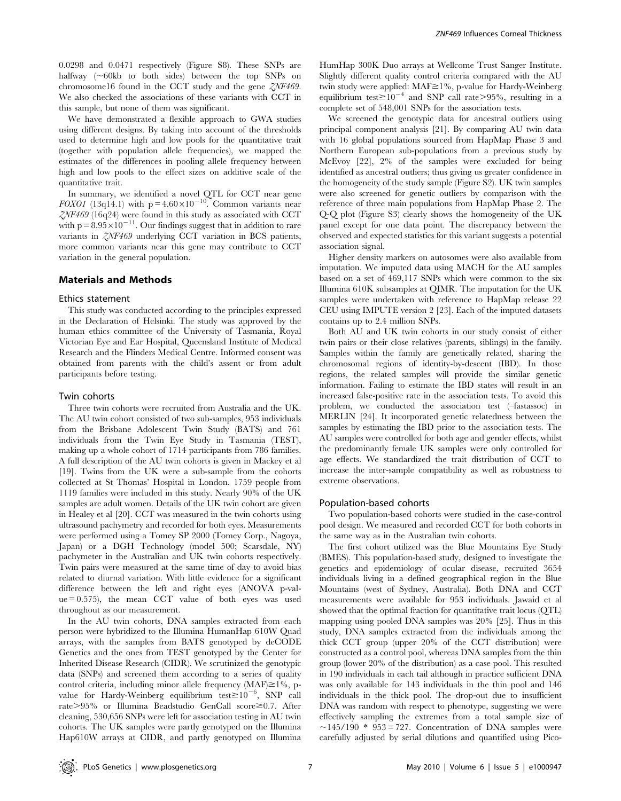0.0298 and 0.0471 respectively (Figure S8). These SNPs are halfway  $(~60kb)$  to both sides) between the top SNPs on chromosome16 found in the CCT study and the gene ZNF469. We also checked the associations of these variants with CCT in this sample, but none of them was significant.

We have demonstrated a flexible approach to GWA studies using different designs. By taking into account of the thresholds used to determine high and low pools for the quantitative trait (together with population allele frequencies), we mapped the estimates of the differences in pooling allele frequency between high and low pools to the effect sizes on additive scale of the quantitative trait.

In summary, we identified a novel QTL for CCT near gene FOXO1 (13q14.1) with  $p = 4.60 \times 10^{-10}$ . Common variants near  $ZNF469$  (16q24) were found in this study as associated with CCT with  $p = 8.95 \times 10^{-11}$ . Our findings suggest that in addition to rare variants in ZNF469 underlying CCT variation in BCS patients, more common variants near this gene may contribute to CCT variation in the general population.

## Materials and Methods

#### Ethics statement

This study was conducted according to the principles expressed in the Declaration of Helsinki. The study was approved by the human ethics committee of the University of Tasmania, Royal Victorian Eye and Ear Hospital, Queensland Institute of Medical Research and the Flinders Medical Centre. Informed consent was obtained from parents with the child's assent or from adult participants before testing.

#### Twin cohorts

Three twin cohorts were recruited from Australia and the UK. The AU twin cohort consisted of two sub-samples, 953 individuals from the Brisbane Adolescent Twin Study (BATS) and 761 individuals from the Twin Eye Study in Tasmania (TEST), making up a whole cohort of 1714 participants from 786 families. A full description of the AU twin cohorts is given in Mackey et al [19]. Twins from the UK were a sub-sample from the cohorts collected at St Thomas' Hospital in London. 1759 people from 1119 families were included in this study. Nearly 90% of the UK samples are adult women. Details of the UK twin cohort are given in Healey et al [20]. CCT was measured in the twin cohorts using ultrasound pachymetry and recorded for both eyes. Measurements were performed using a Tomey SP 2000 (Tomey Corp., Nagoya, Japan) or a DGH Technology (model 500; Scarsdale, NY) pachymeter in the Australian and UK twin cohorts respectively. Twin pairs were measured at the same time of day to avoid bias related to diurnal variation. With little evidence for a significant difference between the left and right eyes (ANOVA p-val $ue = 0.575$ , the mean CCT value of both eyes was used throughout as our measurement.

In the AU twin cohorts, DNA samples extracted from each person were hybridized to the Illumina HumanHap 610W Quad arrays, with the samples from BATS genotyped by deCODE Genetics and the ones from TEST genotyped by the Center for Inherited Disease Research (CIDR). We scrutinized the genotypic data (SNPs) and screened them according to a series of quality control criteria, including minor allele frequency (MAF) $\geq$ 1%, pvalue for Hardy-Weinberg equilibrium test $\geq 10^{-6}$ , SNP call rate>95% or Illumina Beadstudio GenCall score≥0.7. After cleaning, 530,656 SNPs were left for association testing in AU twin cohorts. The UK samples were partly genotyped on the Illumina Hap610W arrays at CIDR, and partly genotyped on Illumina

HumHap 300K Duo arrays at Wellcome Trust Sanger Institute. Slightly different quality control criteria compared with the AU twin study were applied:  $MAF \geq 1\%$ , p-value for Hardy-Weinberg equilibrium test $\geq 10^{-4}$  and SNP call rate >95%, resulting in a complete set of 548,001 SNPs for the association tests.

We screened the genotypic data for ancestral outliers using principal component analysis [21]. By comparing AU twin data with 16 global populations sourced from HapMap Phase 3 and Northern European sub-populations from a previous study by McEvoy [22], 2% of the samples were excluded for being identified as ancestral outliers; thus giving us greater confidence in the homogeneity of the study sample (Figure S2). UK twin samples were also screened for genetic outliers by comparison with the reference of three main populations from HapMap Phase 2. The Q-Q plot (Figure S3) clearly shows the homogeneity of the UK panel except for one data point. The discrepancy between the observed and expected statistics for this variant suggests a potential association signal.

Higher density markers on autosomes were also available from imputation. We imputed data using MACH for the AU samples based on a set of 469,117 SNPs which were common to the six Illumina 610K subsamples at QIMR. The imputation for the UK samples were undertaken with reference to HapMap release 22 CEU using IMPUTE version 2 [23]. Each of the imputed datasets contains up to 2.4 million SNPs.

Both AU and UK twin cohorts in our study consist of either twin pairs or their close relatives (parents, siblings) in the family. Samples within the family are genetically related, sharing the chromosomal regions of identity-by-descent (IBD). In those regions, the related samples will provide the similar genetic information. Failing to estimate the IBD states will result in an increased false-positive rate in the association tests. To avoid this problem, we conducted the association test (–fastassoc) in MERLIN [24]. It incorporated genetic relatedness between the samples by estimating the IBD prior to the association tests. The AU samples were controlled for both age and gender effects, whilst the predominantly female UK samples were only controlled for age effects. We standardized the trait distribution of CCT to increase the inter-sample compatibility as well as robustness to extreme observations.

#### Population-based cohorts

Two population-based cohorts were studied in the case-control pool design. We measured and recorded CCT for both cohorts in the same way as in the Australian twin cohorts.

The first cohort utilized was the Blue Mountains Eye Study (BMES). This population-based study, designed to investigate the genetics and epidemiology of ocular disease, recruited 3654 individuals living in a defined geographical region in the Blue Mountains (west of Sydney, Australia). Both DNA and CCT measurements were available for 953 individuals. Jawaid et al showed that the optimal fraction for quantitative trait locus (QTL) mapping using pooled DNA samples was 20% [25]. Thus in this study, DNA samples extracted from the individuals among the thick CCT group (upper 20% of the CCT distribution) were constructed as a control pool, whereas DNA samples from the thin group (lower 20% of the distribution) as a case pool. This resulted in 190 individuals in each tail although in practice sufficient DNA was only available for 143 individuals in the thin pool and 146 individuals in the thick pool. The drop-out due to insufficient DNA was random with respect to phenotype, suggesting we were effectively sampling the extremes from a total sample size of  $\sim$ 145/190 \* 953 = 727. Concentration of DNA samples were carefully adjusted by serial dilutions and quantified using Pico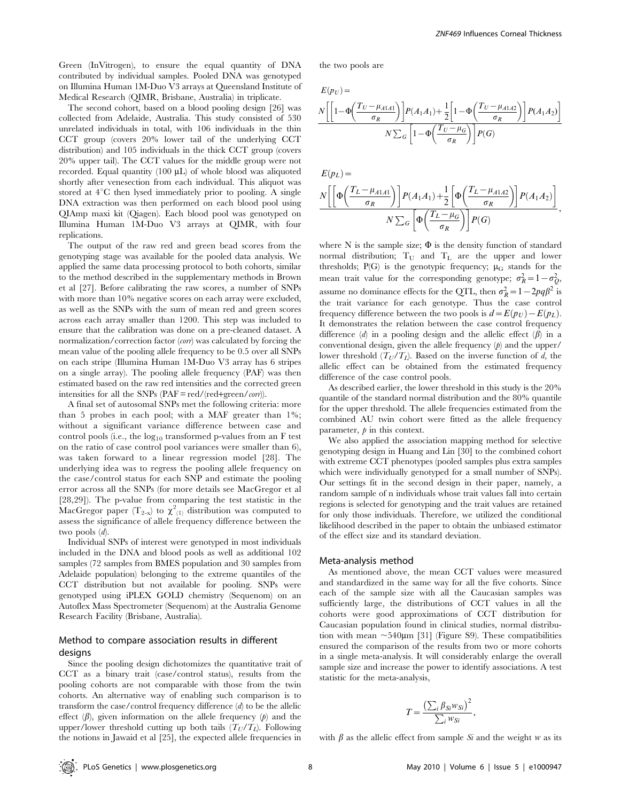Green (InVitrogen), to ensure the equal quantity of DNA contributed by individual samples. Pooled DNA was genotyped on Illumina Human 1M-Duo V3 arrays at Queensland Institute of Medical Research (QIMR, Brisbane, Australia) in triplicate.

The second cohort, based on a blood pooling design [26] was collected from Adelaide, Australia. This study consisted of 530 unrelated individuals in total, with 106 individuals in the thin CCT group (covers 20% lower tail of the underlying CCT distribution) and 105 individuals in the thick CCT group (covers 20% upper tail). The CCT values for the middle group were not recorded. Equal quantity  $(100 \mu L)$  of whole blood was aliquoted shortly after venesection from each individual. This aliquot was stored at  $4^{\circ}$ C then lysed immediately prior to pooling. A single DNA extraction was then performed on each blood pool using QIAmp maxi kit (Qiagen). Each blood pool was genotyped on Illumina Human 1M-Duo V3 arrays at QIMR, with four replications.

The output of the raw red and green bead scores from the genotyping stage was available for the pooled data analysis. We applied the same data processing protocol to both cohorts, similar to the method described in the supplementary methods in Brown et al [27]. Before calibrating the raw scores, a number of SNPs with more than 10% negative scores on each array were excluded, as well as the SNPs with the sum of mean red and green scores across each array smaller than 1200. This step was included to ensure that the calibration was done on a pre-cleaned dataset. A normalization/correction factor (corr) was calculated by forcing the mean value of the pooling allele frequency to be 0.5 over all SNPs on each stripe (Illumina Human 1M-Duo V3 array has 6 stripes on a single array). The pooling allele frequency (PAF) was then estimated based on the raw red intensities and the corrected green intensities for all the SNPs (PAF = red/(red+green/corr)).

A final set of autosomal SNPs met the following criteria: more than 5 probes in each pool; with a MAF greater than 1%; without a significant variance difference between case and control pools (i.e., the  $log_{10}$  transformed p-values from an F test on the ratio of case control pool variances were smaller than 6), was taken forward to a linear regression model [28]. The underlying idea was to regress the pooling allele frequency on the case/control status for each SNP and estimate the pooling error across all the SNPs (for more details see MacGregor et al [28,29]). The p-value from comparing the test statistic in the MacGregor paper ( $T_{2-x}$ ) to  $\chi^2_{(1)}$  distribution was computed to assess the significance of allele frequency difference between the two pools (d).

Individual SNPs of interest were genotyped in most individuals included in the DNA and blood pools as well as additional 102 samples (72 samples from BMES population and 30 samples from Adelaide population) belonging to the extreme quantiles of the CCT distribution but not available for pooling. SNPs were genotyped using iPLEX GOLD chemistry (Sequenom) on an Autoflex Mass Spectrometer (Sequenom) at the Australia Genome Research Facility (Brisbane, Australia).

## Method to compare association results in different designs

Since the pooling design dichotomizes the quantitative trait of CCT as a binary trait (case/control status), results from the pooling cohorts are not comparable with those from the twin cohorts. An alternative way of enabling such comparison is to transform the case/control frequency difference (d) to be the allelic effect  $(\beta)$ , given information on the allele frequency  $(\beta)$  and the upper/lower threshold cutting up both tails  $(T_U/T_L)$ . Following the notions in Jawaid et al [25], the expected allele frequencies in ,

the two pools are

 $E(p_U) =$ 

$$
\frac{N\bigg[\bigg[1-\Phi\bigg(\frac{T_U-\mu_{A1A1}}{\sigma_R}\bigg)\bigg]P(A_1A_1)+\frac{1}{2}\bigg[1-\Phi\bigg(\frac{T_U-\mu_{A1A2}}{\sigma_R}\bigg)\bigg]P(A_1A_2)\bigg]}{N\sum_G\bigg[1-\Phi\bigg(\frac{T_U-\mu_G}{\sigma_R}\bigg)\bigg]P(G)}
$$

$$
E(p_L) =
$$
\n
$$
N \left[ \left[ \Phi \left( \frac{T_L - \mu_{A1A1}}{\sigma_R} \right) \right] P(A_1 A_1) + \frac{1}{2} \left[ \Phi \left( \frac{T_L - \mu_{A1A2}}{\sigma_R} \right) \right] P(A_1 A_2) \right]
$$
\n
$$
N \sum_G \left[ \Phi \left( \frac{T_L - \mu_G}{\sigma_R} \right) \right] P(G)
$$

where N is the sample size;  $\Phi$  is the density function of standard normal distribution;  $T_U$  and  $T_L$  are the upper and lower thresholds;  $P(G)$  is the genotypic frequency;  $\mu_G$  stands for the mean trait value for the corresponding genotype;  $\sigma_R^2 = 1 - \sigma_Q^2$ , assume no dominance effects for the QTL, then  $\sigma_R^2 = 1 - 2pq\beta^2$  is the trait variance for each genotype. Thus the case control frequency difference between the two pools is  $d = E(p_U) - E(p_L)$ . It demonstrates the relation between the case control frequency difference  $(d)$  in a pooling design and the allelic effect  $(\beta)$  in a conventional design, given the allele frequency  $(p)$  and the upper/ lower threshold  $(T_U/T_I)$ . Based on the inverse function of d, the allelic effect can be obtained from the estimated frequency difference of the case control pools.

As described earlier, the lower threshold in this study is the 20% quantile of the standard normal distribution and the 80% quantile for the upper threshold. The allele frequencies estimated from the combined AU twin cohort were fitted as the allele frequency parameter,  $\rho$  in this context.

We also applied the association mapping method for selective genotyping design in Huang and Lin [30] to the combined cohort with extreme CCT phenotypes (pooled samples plus extra samples which were individually genotyped for a small number of SNPs). Our settings fit in the second design in their paper, namely, a random sample of n individuals whose trait values fall into certain regions is selected for genotyping and the trait values are retained for only those individuals. Therefore, we utilized the conditional likelihood described in the paper to obtain the unbiased estimator of the effect size and its standard deviation.

#### Meta-analysis method

As mentioned above, the mean CCT values were measured and standardized in the same way for all the five cohorts. Since each of the sample size with all the Caucasian samples was sufficiently large, the distributions of CCT values in all the cohorts were good approximations of CCT distribution for Caucasian population found in clinical studies, normal distribution with mean  $\sim$  540 $\mu$ m [31] (Figure S9). These compatibilities ensured the comparison of the results from two or more cohorts in a single meta-analysis. It will considerably enlarge the overall sample size and increase the power to identify associations. A test statistic for the meta-analysis,

$$
T = \frac{\left(\sum_{i} \beta_{Si} w_{Si}\right)^2}{\sum_{i} w_{Si}},
$$

with  $\beta$  as the allelic effect from sample Si and the weight w as its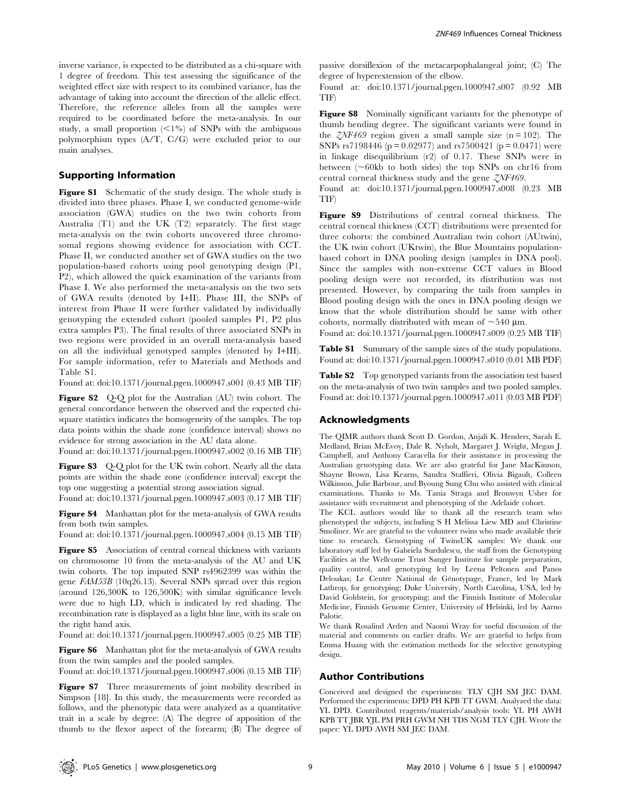inverse variance, is expected to be distributed as a chi-square with 1 degree of freedom. This test assessing the significance of the weighted effect size with respect to its combined variance, has the advantage of taking into account the direction of the allelic effect. Therefore, the reference alleles from all the samples were required to be coordinated before the meta-analysis. In our study, a small proportion  $\langle \leq 1\% \rangle$  of SNPs with the ambiguous polymorphism types (A/T, C/G) were excluded prior to our main analyses.

## Supporting Information

Figure S1 Schematic of the study design. The whole study is divided into three phases. Phase I, we conducted genome-wide association (GWA) studies on the two twin cohorts from Australia (T1) and the UK (T2) separately. The first stage meta-analysis on the twin cohorts uncovered three chromosomal regions showing evidence for association with CCT. Phase II, we conducted another set of GWA studies on the two population-based cohorts using pool genotyping design (P1, P2), which allowed the quick examination of the variants from Phase I. We also performed the meta-analysis on the two sets of GWA results (denoted by I+II). Phase III, the SNPs of interest from Phase II were further validated by individually genotyping the extended cohort (pooled samples P1, P2 plus extra samples P3). The final results of three associated SNPs in two regions were provided in an overall meta-analysis based on all the individual genotyped samples (denoted by I+III). For sample information, refer to Materials and Methods and Table S1.

Found at: doi:10.1371/journal.pgen.1000947.s001 (0.43 MB TIF)

Figure S2 Q-Q plot for the Australian (AU) twin cohort. The general concordance between the observed and the expected chisquare statistics indicates the homogeneity of the samples. The top data points within the shade zone (confidence interval) shows no evidence for strong association in the AU data alone.

Found at: doi:10.1371/journal.pgen.1000947.s002 (0.16 MB TIF)

Figure S3 Q-Q plot for the UK twin cohort. Nearly all the data points are within the shade zone (confidence interval) except the top one suggesting a potential strong association signal.

Found at: doi:10.1371/journal.pgen.1000947.s003 (0.17 MB TIF)

Figure S4 Manhattan plot for the meta-analysis of GWA results from both twin samples.

Found at: doi:10.1371/journal.pgen.1000947.s004 (0.15 MB TIF)

Figure S5 Association of central corneal thickness with variants on chromosome 10 from the meta-analysis of the AU and UK twin cohorts. The top imputed SNP rs4962399 was within the gene FAM53B (10q26.13). Several SNPs spread over this region (around 126,300K to 126,500K) with similar significance levels were due to high LD, which is indicated by red shading. The recombination rate is displayed as a light blue line, with its scale on the right hand axis.

Found at: doi:10.1371/journal.pgen.1000947.s005 (0.25 MB TIF)

Figure S6 Manhattan plot for the meta-analysis of GWA results from the twin samples and the pooled samples.

Found at: doi:10.1371/journal.pgen.1000947.s006 (0.15 MB TIF)

Figure S7 Three measurements of joint mobility described in Simpson [18]. In this study, the measurements were recorded as follows, and the phenotypic data were analyzed as a quantitative trait in a scale by degree: (A) The degree of apposition of the thumb to the flexor aspect of the forearm; (B) The degree of passive dorsiflexion of the metacarpophalangeal joint; (C) The degree of hyperextension of the elbow.

Found at: doi:10.1371/journal.pgen.1000947.s007 (0.92 MB TIF)

Figure S8 Nominally significant variants for the phenotype of thumb bending degree. The significant variants were found in the  $\zeta NF469$  region given a small sample size (n = 102). The SNPs rs7198446 ( $p = 0.02977$ ) and rs7500421 ( $p = 0.0471$ ) were in linkage disequilibrium (r2) of 0.17. These SNPs were in between  $(~60kb)$  to both sides) the top SNPs on chr16 from central corneal thickness study and the gene ZNF469.

Found at: doi:10.1371/journal.pgen.1000947.s008 (0.23 MB TIF)

Figure S9 Distributions of central corneal thickness. The central corneal thickness (CCT) distributions were presented for three cohorts: the combined Australian twin cohort (AUtwin), the UK twin cohort (UKtwin), the Blue Mountains populationbased cohort in DNA pooling design (samples in DNA pool). Since the samples with non-extreme CCT values in Blood pooling design were not recorded, its distribution was not presented. However, by comparing the tails from samples in Blood pooling design with the ones in DNA pooling design we know that the whole distribution should be same with other cohorts, normally distributed with mean of  $\sim$ 540 µm.

Found at: doi:10.1371/journal.pgen.1000947.s009 (0.25 MB TIF)

Table S1 Summary of the sample sizes of the study populations. Found at: doi:10.1371/journal.pgen.1000947.s010 (0.01 MB PDF)

Table S2 Top genotyped variants from the association test based on the meta-analysis of two twin samples and two pooled samples. Found at: doi:10.1371/journal.pgen.1000947.s011 (0.03 MB PDF)

#### Acknowledgments

The QIMR authors thank Scott D. Gordon, Anjali K. Henders, Sarah E. Medland, Brian McEvoy, Dale R. Nyholt, Margaret J. Wright, Megan J. Campbell, and Anthony Caracella for their assistance in processing the Australian genotyping data. We are also grateful for Jane MacKinnon, Shayne Brown, Lisa Kearns, Sandra Staffieri, Olivia Bigault, Colleen Wilkinson, Julie Barbour, and Byoung Sung Chu who assisted with clinical examinations. Thanks to Ms. Tania Straga and Bronwyn Usher for assistance with recruitment and phenotyping of the Adelaide cohort.

The KCL authors would like to thank all the research team who phenotyped the subjects, including S H Melissa Liew MD and Christine Smoliner. We are grateful to the volunteer twins who made available their time to research. Genotyping of TwinsUK samples: We thank our laboratory staff led by Gabriela Surdulescu, the staff from the Genotyping Facilities at the Wellcome Trust Sanger Institute for sample preparation, quality control, and genotyping led by Leena Peltonen and Panos Deloukas; Le Centre National de Génotypage, France, led by Mark Lathrop, for genotyping; Duke University, North Carolina, USA, led by David Goldstein, for genotyping; and the Finnish Institute of Molecular Medicine, Finnish Genome Center, University of Helsinki, led by Aarno Palotie.

We thank Rosalind Arden and Naomi Wray for useful discussion of the material and comments on earlier drafts. We are grateful to helps from Emma Huang with the estimation methods for the selective genotyping design.

#### Author Contributions

Conceived and designed the experiments: TLY CJH SM JEC DAM. Performed the experiments: DPD PH KPB TT GWM. Analyzed the data: YL DPD. Contributed reagents/materials/analysis tools: YL PH AWH KPB TT JBR YJL PM PRH GWM NH TDS NGM TLY CJH. Wrote the paper: YL DPD AWH SM JEC DAM.